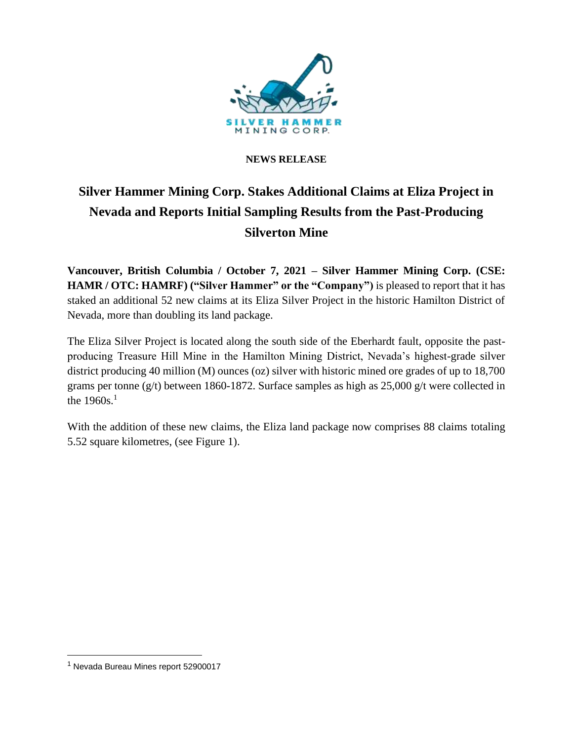

## **NEWS RELEASE**

# **Silver Hammer Mining Corp. Stakes Additional Claims at Eliza Project in Nevada and Reports Initial Sampling Results from the Past-Producing Silverton Mine**

**Vancouver, British Columbia / October 7, 2021 – Silver Hammer Mining Corp. (CSE: HAMR / OTC: HAMRF) ("Silver Hammer" or the "Company")** is pleased to report that it has staked an additional 52 new claims at its Eliza Silver Project in the historic Hamilton District of Nevada, more than doubling its land package.

The Eliza Silver Project is located along the south side of the Eberhardt fault, opposite the pastproducing Treasure Hill Mine in the Hamilton Mining District, Nevada's highest-grade silver district producing 40 million (M) ounces (oz) silver with historic mined ore grades of up to 18,700 grams per tonne (g/t) between 1860-1872. Surface samples as high as 25,000 g/t were collected in the  $1960s.<sup>1</sup>$ 

With the addition of these new claims, the Eliza land package now comprises 88 claims totaling 5.52 square kilometres, (see Figure 1).

 $<sup>1</sup>$  Nevada Bureau Mines report 52900017</sup>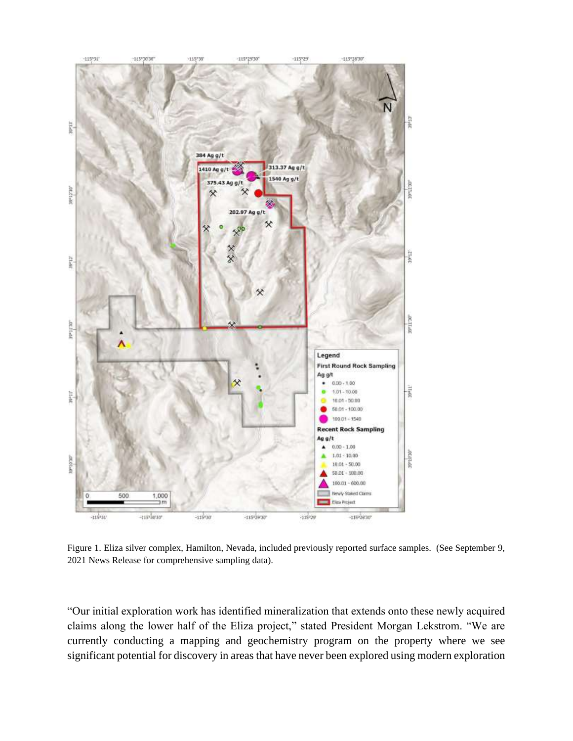

Figure 1. Eliza silver complex, Hamilton, Nevada, included previously reported surface samples. (See September 9, 2021 News Release for comprehensive sampling data).

"Our initial exploration work has identified mineralization that extends onto these newly acquired claims along the lower half of the Eliza project," stated President Morgan Lekstrom. "We are currently conducting a mapping and geochemistry program on the property where we see significant potential for discovery in areas that have never been explored using modern exploration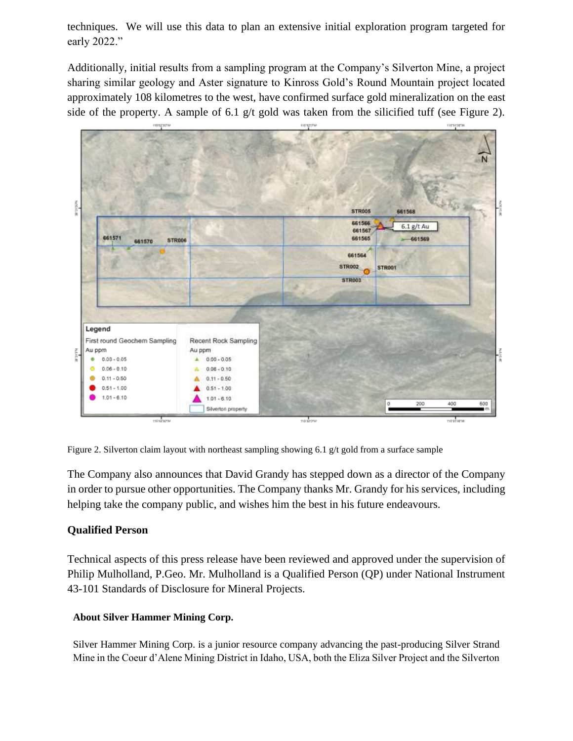techniques. We will use this data to plan an extensive initial exploration program targeted for early 2022."

Additionally, initial results from a sampling program at the Company's Silverton Mine, a project sharing similar geology and Aster signature to Kinross Gold's Round Mountain project located approximately 108 kilometres to the west, have confirmed surface gold mineralization on the east side of the property. A sample of 6.1 g/t gold was taken from the silicified tuff (see Figure 2).



Figure 2. Silverton claim layout with northeast sampling showing 6.1  $g/t$  gold from a surface sample

The Company also announces that David Grandy has stepped down as a director of the Company in order to pursue other opportunities. The Company thanks Mr. Grandy for his services, including helping take the company public, and wishes him the best in his future endeavours.

## **Qualified Person**

Technical aspects of this press release have been reviewed and approved under the supervision of Philip Mulholland, P.Geo. Mr. Mulholland is a Qualified Person (QP) under National Instrument 43-101 Standards of Disclosure for Mineral Projects.

## **About Silver Hammer Mining Corp.**

Silver Hammer Mining Corp. is a junior resource company advancing the past-producing Silver Strand Mine in the Coeur d'Alene Mining District in Idaho, USA, both the Eliza Silver Project and the Silverton